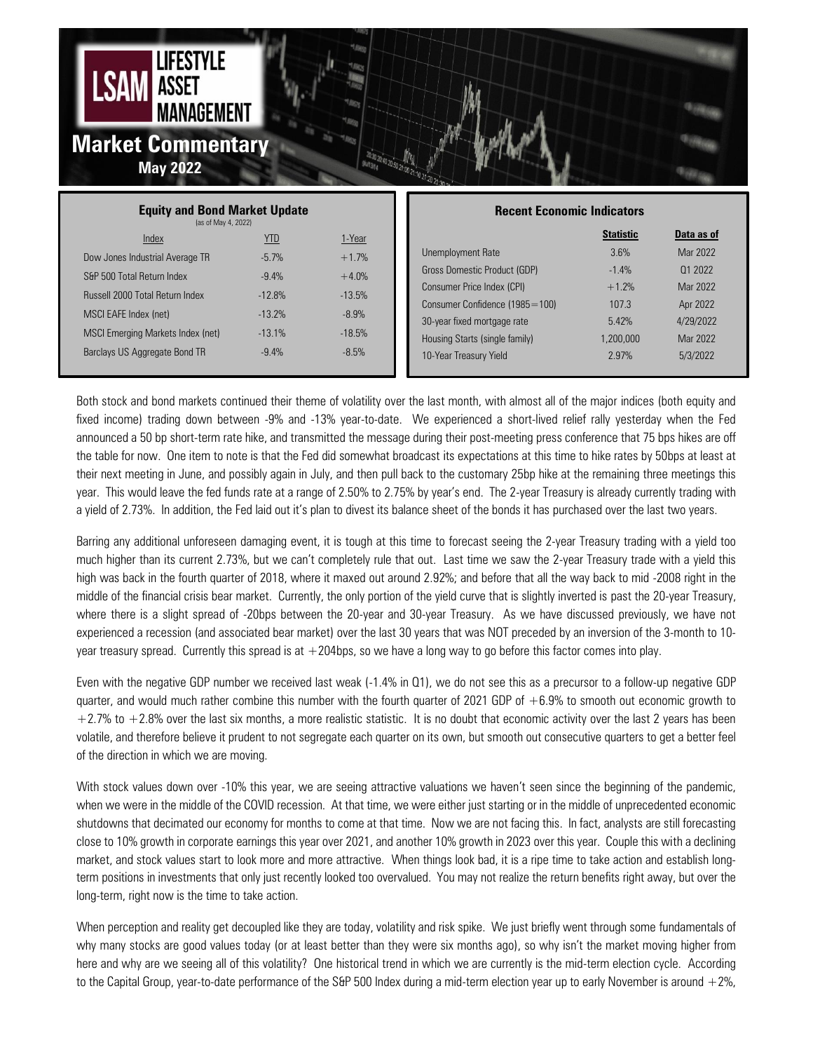

| <b>Equity and Bond Market Update</b><br>(as of May 4, 2022) |            |          | <b>Recent Economic Indicators</b> |                  |            |
|-------------------------------------------------------------|------------|----------|-----------------------------------|------------------|------------|
| Index                                                       | <u>YTD</u> | 1-Year   |                                   | <b>Statistic</b> | Data as of |
| Dow Jones Industrial Average TR                             | $-5.7%$    | $+1.7%$  | Unemployment Rate                 | 3.6%             | Mar 2022   |
| S&P 500 Total Return Index                                  | $-9.4%$    | $+4.0%$  | Gross Domestic Product (GDP)      | $-1.4%$          | 01 2022    |
| <b>Russell 2000 Total Return Index</b>                      | $-12.8%$   | $-13.5%$ | Consumer Price Index (CPI)        | $+1.2%$          | Mar 2022   |
|                                                             |            |          | Consumer Confidence (1985=100)    | 107.3            | Apr 2022   |
| MSCI EAFE Index (net)                                       | $-13.2%$   | $-8.9%$  | 30-year fixed mortgage rate       | 5.42%            | 4/29/2022  |
| MSCI Emerging Markets Index (net)                           | $-13.1%$   | $-18.5%$ | Housing Starts (single family)    | 1.200.000        | Mar 2022   |
| Barclays US Aggregate Bond TR                               | $-9.4%$    | $-8.5%$  | 10-Year Treasury Yield            | 2.97%            | 5/3/2022   |
|                                                             |            |          |                                   |                  |            |

Both stock and bond markets continued their theme of volatility over the last month, with almost all of the major indices (both equity and fixed income) trading down between -9% and -13% year-to-date. We experienced a short-lived relief rally yesterday when the Fed announced a 50 bp short-term rate hike, and transmitted the message during their post-meeting press conference that 75 bps hikes are off the table for now. One item to note is that the Fed did somewhat broadcast its expectations at this time to hike rates by 50bps at least at their next meeting in June, and possibly again in July, and then pull back to the customary 25bp hike at the remaining three meetings this year. This would leave the fed funds rate at a range of 2.50% to 2.75% by year's end. The 2-year Treasury is already currently trading with a yield of 2.73%. In addition, the Fed laid out it's plan to divest its balance sheet of the bonds it has purchased over the last two years.

Barring any additional unforeseen damaging event, it is tough at this time to forecast seeing the 2-year Treasury trading with a yield too much higher than its current 2.73%, but we can't completely rule that out. Last time we saw the 2-year Treasury trade with a yield this high was back in the fourth quarter of 2018, where it maxed out around 2.92%; and before that all the way back to mid -2008 right in the middle of the financial crisis bear market. Currently, the only portion of the yield curve that is slightly inverted is past the 20-year Treasury, where there is a slight spread of -20bps between the 20-year and 30-year Treasury. As we have discussed previously, we have not experienced a recession (and associated bear market) over the last 30 years that was NOT preceded by an inversion of the 3-month to 10 year treasury spread. Currently this spread is at  $+204$ bps, so we have a long way to go before this factor comes into play.

Even with the negative GDP number we received last weak (-1.4% in Q1), we do not see this as a precursor to a follow-up negative GDP quarter, and would much rather combine this number with the fourth quarter of 2021 GDP of  $+6.9\%$  to smooth out economic growth to  $+2.7\%$  to  $+2.8\%$  over the last six months, a more realistic statistic. It is no doubt that economic activity over the last 2 years has been volatile, and therefore believe it prudent to not segregate each quarter on its own, but smooth out consecutive quarters to get a better feel of the direction in which we are moving.

With stock values down over -10% this year, we are seeing attractive valuations we haven't seen since the beginning of the pandemic, when we were in the middle of the COVID recession. At that time, we were either just starting or in the middle of unprecedented economic shutdowns that decimated our economy for months to come at that time. Now we are not facing this. In fact, analysts are still forecasting close to 10% growth in corporate earnings this year over 2021, and another 10% growth in 2023 over this year. Couple this with a declining market, and stock values start to look more and more attractive. When things look bad, it is a ripe time to take action and establish longterm positions in investments that only just recently looked too overvalued. You may not realize the return benefits right away, but over the long-term, right now is the time to take action.

When perception and reality get decoupled like they are today, volatility and risk spike. We just briefly went through some fundamentals of why many stocks are good values today (or at least better than they were six months ago), so why isn't the market moving higher from here and why are we seeing all of this volatility? One historical trend in which we are currently is the mid-term election cycle. According to the Capital Group, year-to-date performance of the S&P 500 Index during a mid-term election year up to early November is around  $+2\%$ ,